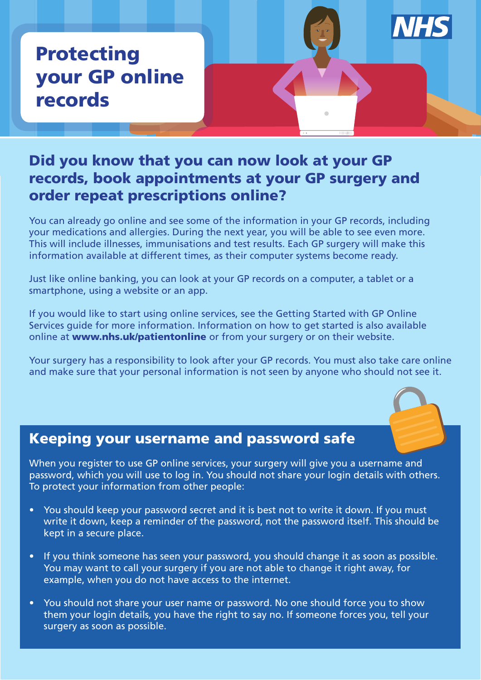# Protecting your GP online records

### Did you know that you can now look at your GP records, book appointments at your GP surgery and order repeat prescriptions online?

You can already go online and see some of the information in your GP records, including your medications and allergies. During the next year, you will be able to see even more. This will include illnesses, immunisations and test results. Each GP surgery will make this information available at different times, as their computer systems become ready.

Just like online banking, you can look at your GP records on a computer, a tablet or a smartphone, using a website or an app.

If you would like to start using online services, see the Getting Started with GP Online Services guide for more information. Information on how to get started is also available online at www.nhs.uk/patientonline or from your surgery or on their website.

Your surgery has a responsibility to look after your GP records. You must also take care online and make sure that your personal information is not seen by anyone who should not see it.



## Keeping your username and password safe

When you register to use GP online services, your surgery will give you a username and password, which you will use to log in. You should not share your login details with others. To protect your information from other people:

- You should keep your password secret and it is best not to write it down. If you must write it down, keep a reminder of the password, not the password itself. This should be kept in a secure place.
- If you think someone has seen your password, you should change it as soon as possible. You may want to call your surgery if you are not able to change it right away, for example, when you do not have access to the internet.
- You should not share your user name or password. No one should force you to show them your login details, you have the right to say no. If someone forces you, tell your surgery as soon as possible.